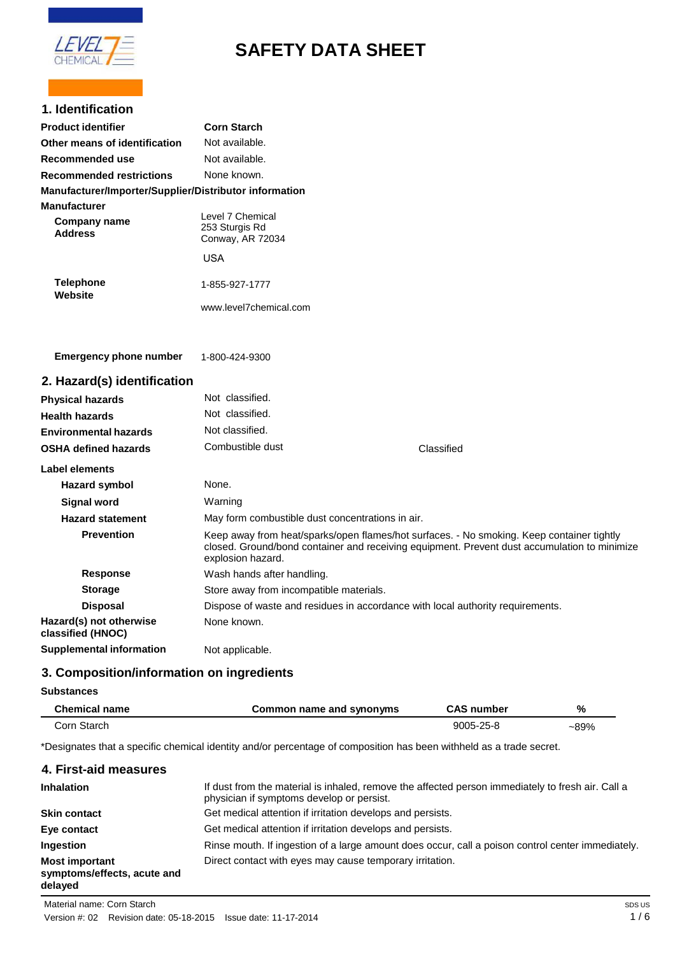

# **SAFETY DATA SHEET**

# **1. Identification**

| Product identifier                                     | <b>Corn Starch</b>                                     |
|--------------------------------------------------------|--------------------------------------------------------|
| Other means of identification                          | Not available.                                         |
| Recommended use                                        | Not available.                                         |
| <b>Recommended restrictions</b>                        | None known.                                            |
| Manufacturer/Importer/Supplier/Distributor information |                                                        |
| Manufacturer<br>Company name<br><b>Address</b>         | Level 7 Chemical<br>253 Sturgis Rd<br>Conway, AR 72034 |
|                                                        | USA                                                    |
| <b>Telephone</b><br>Website                            | 1-855-927-1777<br>www.level7chemical.com               |
|                                                        |                                                        |

**Emergency phone number** (501) 470-9689 (M-F 8am-5pm) 1-800-424-9300

| 2. Hazard(s) identification  |                  |  |
|------------------------------|------------------|--|
| <b>Physical hazards</b>      | Not classified.  |  |
| <b>Health hazards</b>        | Not classified.  |  |
| <b>Environmental hazards</b> | Not classified.  |  |
| <b>OSHA defined hazards</b>  | Combustible dust |  |
| منسموه والمساحا              |                  |  |

| Label elements                               |                                                                                                                                                                                                                |
|----------------------------------------------|----------------------------------------------------------------------------------------------------------------------------------------------------------------------------------------------------------------|
| <b>Hazard symbol</b>                         | None.                                                                                                                                                                                                          |
| <b>Signal word</b>                           | Warning                                                                                                                                                                                                        |
| <b>Hazard statement</b>                      | May form combustible dust concentrations in air.                                                                                                                                                               |
| <b>Prevention</b>                            | Keep away from heat/sparks/open flames/hot surfaces. - No smoking. Keep container tightly<br>closed. Ground/bond container and receiving equipment. Prevent dust accumulation to minimize<br>explosion hazard. |
| <b>Response</b>                              | Wash hands after handling.                                                                                                                                                                                     |
| <b>Storage</b>                               | Store away from incompatible materials.                                                                                                                                                                        |
| <b>Disposal</b>                              | Dispose of waste and residues in accordance with local authority requirements.                                                                                                                                 |
| Hazard(s) not otherwise<br>classified (HNOC) | None known.                                                                                                                                                                                                    |
| Supplemental information                     | Not applicable.                                                                                                                                                                                                |

Classified

# **3. Composition/information on ingredients**

# **Substances**

| <b>Chemical name</b> | Common name and synonyms | <b>CAS number</b> | %    |
|----------------------|--------------------------|-------------------|------|
| Corn Starch          |                          | 9005-25-8         | ~89% |

\*Designates that a specific chemical identity and/or percentage of composition has been withheld as a trade secret.

| If dust from the material is inhaled, remove the affected person immediately to fresh air. Call a<br>physician if symptoms develop or persist. |
|------------------------------------------------------------------------------------------------------------------------------------------------|
| Get medical attention if irritation develops and persists.                                                                                     |
| Get medical attention if irritation develops and persists.                                                                                     |
| Rinse mouth. If ingestion of a large amount does occur, call a poison control center immediately.                                              |
| Direct contact with eyes may cause temporary irritation.                                                                                       |
|                                                                                                                                                |

Material name: Corn Starch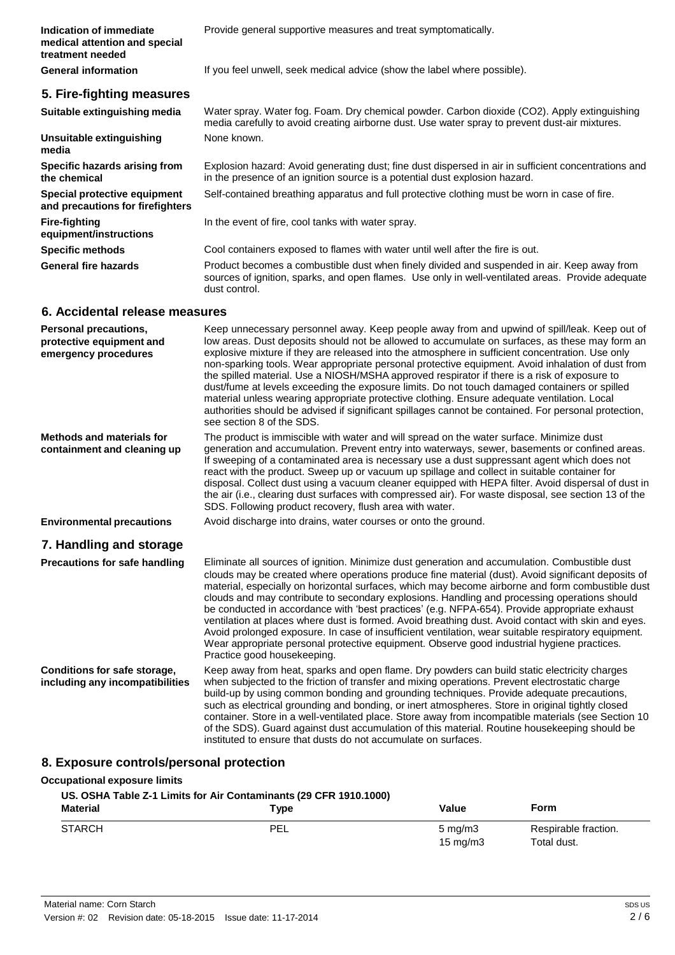**Indication of immediate medical attention and special treatment needed**

# **5. Fire-fighting measures**

Provide general supportive measures and treat symptomatically.

**General information** If you feel unwell, seek medical advice (show the label where possible).

| Suitable extinguishing media                                                     | Water spray. Water fog. Foam. Dry chemical powder. Carbon dioxide (CO2). Apply extinguishing<br>media carefully to avoid creating airborne dust. Use water spray to prevent dust-air mixtures.                                                                                                                                                                                                                                                                                                                                                                                                                                                                                                                                                                                                                                               |
|----------------------------------------------------------------------------------|----------------------------------------------------------------------------------------------------------------------------------------------------------------------------------------------------------------------------------------------------------------------------------------------------------------------------------------------------------------------------------------------------------------------------------------------------------------------------------------------------------------------------------------------------------------------------------------------------------------------------------------------------------------------------------------------------------------------------------------------------------------------------------------------------------------------------------------------|
| Unsuitable extinguishing<br>media                                                | None known.                                                                                                                                                                                                                                                                                                                                                                                                                                                                                                                                                                                                                                                                                                                                                                                                                                  |
| Specific hazards arising from<br>the chemical                                    | Explosion hazard: Avoid generating dust; fine dust dispersed in air in sufficient concentrations and<br>in the presence of an ignition source is a potential dust explosion hazard.                                                                                                                                                                                                                                                                                                                                                                                                                                                                                                                                                                                                                                                          |
| Special protective equipment<br>and precautions for firefighters                 | Self-contained breathing apparatus and full protective clothing must be worn in case of fire.                                                                                                                                                                                                                                                                                                                                                                                                                                                                                                                                                                                                                                                                                                                                                |
| <b>Fire-fighting</b><br>equipment/instructions                                   | In the event of fire, cool tanks with water spray.                                                                                                                                                                                                                                                                                                                                                                                                                                                                                                                                                                                                                                                                                                                                                                                           |
| <b>Specific methods</b>                                                          | Cool containers exposed to flames with water until well after the fire is out.                                                                                                                                                                                                                                                                                                                                                                                                                                                                                                                                                                                                                                                                                                                                                               |
| <b>General fire hazards</b>                                                      | Product becomes a combustible dust when finely divided and suspended in air. Keep away from<br>sources of ignition, sparks, and open flames. Use only in well-ventilated areas. Provide adequate<br>dust control.                                                                                                                                                                                                                                                                                                                                                                                                                                                                                                                                                                                                                            |
| 6. Accidental release measures                                                   |                                                                                                                                                                                                                                                                                                                                                                                                                                                                                                                                                                                                                                                                                                                                                                                                                                              |
| <b>Personal precautions,</b><br>protective equipment and<br>emergency procedures | Keep unnecessary personnel away. Keep people away from and upwind of spill/leak. Keep out of<br>low areas. Dust deposits should not be allowed to accumulate on surfaces, as these may form an<br>explosive mixture if they are released into the atmosphere in sufficient concentration. Use only<br>non-sparking tools. Wear appropriate personal protective equipment. Avoid inhalation of dust from<br>the spilled material. Use a NIOSH/MSHA approved respirator if there is a risk of exposure to<br>dust/fume at levels exceeding the exposure limits. Do not touch damaged containers or spilled<br>material unless wearing appropriate protective clothing. Ensure adequate ventilation. Local<br>authorities should be advised if significant spillages cannot be contained. For personal protection,<br>see section 8 of the SDS. |
| <b>Methods and materials for</b><br>containment and cleaning up                  | The product is immiscible with water and will spread on the water surface. Minimize dust<br>generation and accumulation. Prevent entry into waterways, sewer, basements or confined areas.<br>If sweeping of a contaminated area is necessary use a dust suppressant agent which does not<br>react with the product. Sweep up or vacuum up spillage and collect in suitable container for<br>disposal. Collect dust using a vacuum cleaner equipped with HEPA filter. Avoid dispersal of dust in<br>the air (i.e., clearing dust surfaces with compressed air). For waste disposal, see section 13 of the<br>SDS. Following product recovery, flush area with water.                                                                                                                                                                         |
| <b>Environmental precautions</b>                                                 | Avoid discharge into drains, water courses or onto the ground.                                                                                                                                                                                                                                                                                                                                                                                                                                                                                                                                                                                                                                                                                                                                                                               |
| 7. Handling and storage                                                          |                                                                                                                                                                                                                                                                                                                                                                                                                                                                                                                                                                                                                                                                                                                                                                                                                                              |
| <b>Precautions for safe handling</b>                                             | Eliminate all sources of ignition. Minimize dust generation and accumulation. Combustible dust<br>clouds may be created where operations produce fine material (dust). Avoid significant deposits of<br>material, especially on horizontal surfaces, which may become airborne and form combustible dust<br>clouds and may contribute to secondary explosions. Handling and processing operations should<br>be conducted in accordance with 'best practices' (e.g. NFPA-654). Provide appropriate exhaust                                                                                                                                                                                                                                                                                                                                    |

**Conditions for safe storage, including any incompatibilities**

Practice good housekeeping. Keep away from heat, sparks and open flame. Dry powders can build static electricity charges when subjected to the friction of transfer and mixing operations. Prevent electrostatic charge build-up by using common bonding and grounding techniques. Provide adequate precautions, such as electrical grounding and bonding, or inert atmospheres. Store in original tightly closed container. Store in a well-ventilated place. Store away from incompatible materials (see Section 10 of the SDS). Guard against dust accumulation of this material. Routine housekeeping should be instituted to ensure that dusts do not accumulate on surfaces.

ventilation at places where dust is formed. Avoid breathing dust. Avoid contact with skin and eyes. Avoid prolonged exposure. In case of insufficient ventilation, wear suitable respiratory equipment. Wear appropriate personal protective equipment. Observe good industrial hygiene practices.

# **8. Exposure controls/personal protection**

#### **Occupational exposure limits**

| US. OSHA Table Z-1 Limits for Air Contaminants (29 CFR 1910.1000) |            |                                       |                                     |
|-------------------------------------------------------------------|------------|---------------------------------------|-------------------------------------|
| <b>Material</b>                                                   | Type       | Value                                 | Form                                |
| <b>STARCH</b>                                                     | <b>PEL</b> | $5 \text{ mg/m}$<br>$15 \text{ mg/m}$ | Respirable fraction.<br>Total dust. |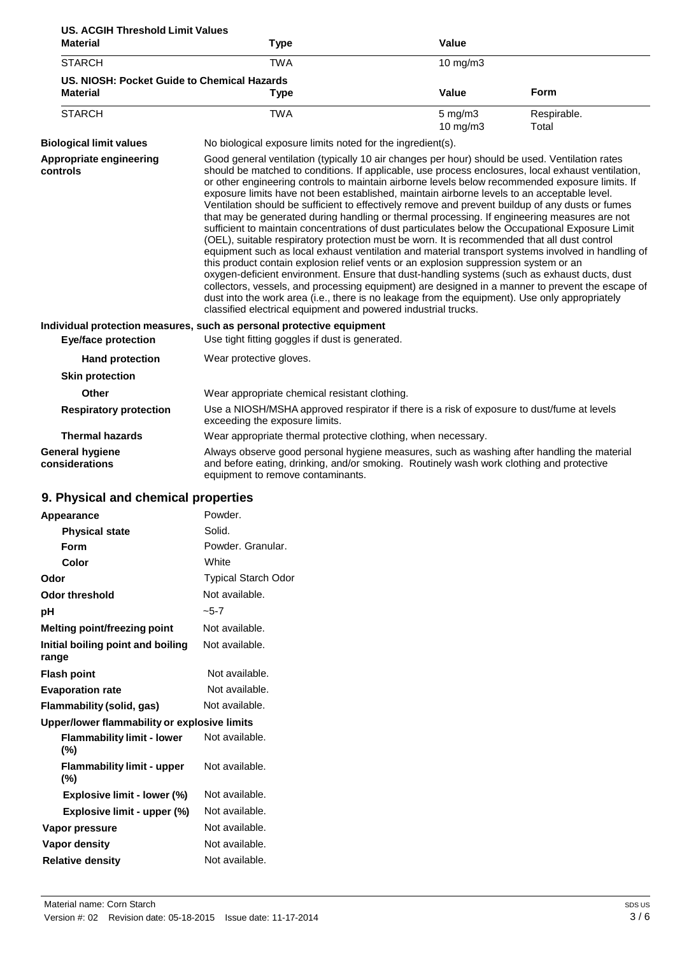| <b>US. ACGIH Threshold Limit Values</b>     |                                                                                                                                                                                                                                                                                                         |                   |             |
|---------------------------------------------|---------------------------------------------------------------------------------------------------------------------------------------------------------------------------------------------------------------------------------------------------------------------------------------------------------|-------------------|-------------|
| <b>Material</b>                             | Type                                                                                                                                                                                                                                                                                                    | Value             |             |
| <b>STARCH</b>                               | TWA                                                                                                                                                                                                                                                                                                     | 10 $mq/m3$        |             |
| US. NIOSH: Pocket Guide to Chemical Hazards |                                                                                                                                                                                                                                                                                                         |                   |             |
| <b>Material</b>                             | Type                                                                                                                                                                                                                                                                                                    | Value             | <b>Form</b> |
| <b>STARCH</b>                               | TWA                                                                                                                                                                                                                                                                                                     | $5 \text{ mg/m}$  | Respirable. |
|                                             |                                                                                                                                                                                                                                                                                                         | $10 \text{ mg/m}$ | Total       |
| <b>Biological limit values</b>              | No biological exposure limits noted for the ingredient(s).                                                                                                                                                                                                                                              |                   |             |
| Appropriate engineering<br>controls         | Good general ventilation (typically 10 air changes per hour) should be used. Ventilation rates<br>should be matched to conditions. If applicable, use process enclosures, local exhaust ventilation,<br>or other engineering controls to maintain airborne levels below recommended exposure limits. If |                   |             |

|                                          | exposure limits have not been established, maintain airborne levels to an acceptable level.<br>Ventilation should be sufficient to effectively remove and prevent buildup of any dusts or fumes<br>that may be generated during handling or thermal processing. If engineering measures are not<br>sufficient to maintain concentrations of dust particulates below the Occupational Exposure Limit<br>(OEL), suitable respiratory protection must be worn. It is recommended that all dust control<br>equipment such as local exhaust ventilation and material transport systems involved in handling of<br>this product contain explosion relief vents or an explosion suppression system or an<br>oxygen-deficient environment. Ensure that dust-handling systems (such as exhaust ducts, dust<br>collectors, vessels, and processing equipment) are designed in a manner to prevent the escape of |
|------------------------------------------|-------------------------------------------------------------------------------------------------------------------------------------------------------------------------------------------------------------------------------------------------------------------------------------------------------------------------------------------------------------------------------------------------------------------------------------------------------------------------------------------------------------------------------------------------------------------------------------------------------------------------------------------------------------------------------------------------------------------------------------------------------------------------------------------------------------------------------------------------------------------------------------------------------|
|                                          | dust into the work area (i.e., there is no leakage from the equipment). Use only appropriately<br>classified electrical equipment and powered industrial trucks.                                                                                                                                                                                                                                                                                                                                                                                                                                                                                                                                                                                                                                                                                                                                      |
|                                          | Individual protection measures, such as personal protective equipment                                                                                                                                                                                                                                                                                                                                                                                                                                                                                                                                                                                                                                                                                                                                                                                                                                 |
| <b>Eye/face protection</b>               | Use tight fitting goggles if dust is generated.                                                                                                                                                                                                                                                                                                                                                                                                                                                                                                                                                                                                                                                                                                                                                                                                                                                       |
| <b>Hand protection</b>                   | Wear protective gloves.                                                                                                                                                                                                                                                                                                                                                                                                                                                                                                                                                                                                                                                                                                                                                                                                                                                                               |
| <b>Skin protection</b>                   |                                                                                                                                                                                                                                                                                                                                                                                                                                                                                                                                                                                                                                                                                                                                                                                                                                                                                                       |
| <b>Other</b>                             | Wear appropriate chemical resistant clothing.                                                                                                                                                                                                                                                                                                                                                                                                                                                                                                                                                                                                                                                                                                                                                                                                                                                         |
| <b>Respiratory protection</b>            | Use a NIOSH/MSHA approved respirator if there is a risk of exposure to dust/fume at levels<br>exceeding the exposure limits.                                                                                                                                                                                                                                                                                                                                                                                                                                                                                                                                                                                                                                                                                                                                                                          |
| <b>Thermal hazards</b>                   | Wear appropriate thermal protective clothing, when necessary.                                                                                                                                                                                                                                                                                                                                                                                                                                                                                                                                                                                                                                                                                                                                                                                                                                         |
| <b>General hygiene</b><br>considerations | Always observe good personal hygiene measures, such as washing after handling the material<br>and before eating, drinking, and/or smoking. Routinely wash work clothing and protective                                                                                                                                                                                                                                                                                                                                                                                                                                                                                                                                                                                                                                                                                                                |

equipment to remove contaminants.

# **9. Physical and chemical properties**

| Appearance                                   | Powder.                    |
|----------------------------------------------|----------------------------|
|                                              | Solid.                     |
| <b>Physical state</b>                        |                            |
| Form                                         | Powder, Granular,          |
| Color                                        | White                      |
| Odor                                         | <b>Typical Starch Odor</b> |
| Odor threshold                               | Not available.             |
| рH                                           | $-5-7$                     |
| <b>Melting point/freezing point</b>          | Not available.             |
| Initial boiling point and boiling<br>range   | Not available.             |
| <b>Flash point</b>                           | Not available.             |
| <b>Evaporation rate</b>                      | Not available.             |
| Flammability (solid, gas)                    | Not available.             |
| Upper/lower flammability or explosive limits |                            |
| <b>Flammability limit - lower</b><br>(%)     | Not available.             |
| <b>Flammability limit - upper</b><br>(%)     | Not available.             |
| Explosive limit - lower (%)                  | Not available.             |
| Explosive limit - upper (%)                  | Not available.             |
| Vapor pressure                               | Not available.             |
| Vapor density                                | Not available.             |
| <b>Relative density</b>                      | Not available.             |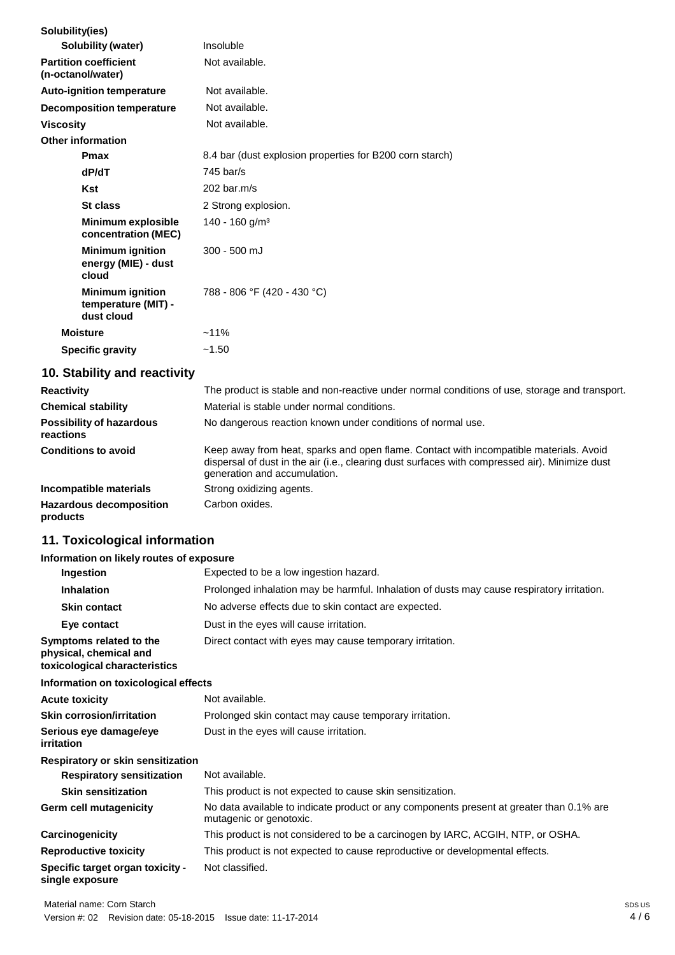| Insoluble                                                |
|----------------------------------------------------------|
| Not available.                                           |
| Not available.                                           |
| Not available.                                           |
| Not available.                                           |
|                                                          |
| 8.4 bar (dust explosion properties for B200 corn starch) |
| $745$ bar/s                                              |
| $202$ bar.m/s                                            |
| 2 Strong explosion.                                      |
| $140 - 160$ g/m <sup>3</sup>                             |
| $300 - 500$ mJ                                           |
| 788 - 806 °F (420 - 430 °C)                              |
| $~11\%$                                                  |
| ~1.50                                                    |
|                                                          |

# **10. Stability and reactivity**

| <b>Reactivity</b>                            | The product is stable and non-reactive under normal conditions of use, storage and transport.                                                                                                                            |
|----------------------------------------------|--------------------------------------------------------------------------------------------------------------------------------------------------------------------------------------------------------------------------|
| <b>Chemical stability</b>                    | Material is stable under normal conditions.                                                                                                                                                                              |
| <b>Possibility of hazardous</b><br>reactions | No dangerous reaction known under conditions of normal use.                                                                                                                                                              |
| <b>Conditions to avoid</b>                   | Keep away from heat, sparks and open flame. Contact with incompatible materials. Avoid<br>dispersal of dust in the air (i.e., clearing dust surfaces with compressed air). Minimize dust<br>generation and accumulation. |
| Incompatible materials                       | Strong oxidizing agents.                                                                                                                                                                                                 |
| <b>Hazardous decomposition</b><br>products   | Carbon oxides.                                                                                                                                                                                                           |

# **11. Toxicological information**

## **Information on likely routes of exposure**

| Ingestion                                                                          | Expected to be a low ingestion hazard.                                                                              |
|------------------------------------------------------------------------------------|---------------------------------------------------------------------------------------------------------------------|
| <b>Inhalation</b>                                                                  | Prolonged inhalation may be harmful. Inhalation of dusts may cause respiratory irritation.                          |
| <b>Skin contact</b>                                                                | No adverse effects due to skin contact are expected.                                                                |
| Eye contact                                                                        | Dust in the eyes will cause irritation.                                                                             |
| Symptoms related to the<br>physical, chemical and<br>toxicological characteristics | Direct contact with eyes may cause temporary irritation.                                                            |
| Information on toxicological effects                                               |                                                                                                                     |
| <b>Acute toxicity</b>                                                              | Not available.                                                                                                      |
| <b>Skin corrosion/irritation</b>                                                   | Prolonged skin contact may cause temporary irritation.                                                              |
| Serious eye damage/eye<br>irritation                                               | Dust in the eyes will cause irritation.                                                                             |
| Respiratory or skin sensitization                                                  |                                                                                                                     |
| <b>Respiratory sensitization</b>                                                   | Not available.                                                                                                      |
| <b>Skin sensitization</b>                                                          | This product is not expected to cause skin sensitization.                                                           |
| Germ cell mutagenicity                                                             | No data available to indicate product or any components present at greater than 0.1% are<br>mutagenic or genotoxic. |
| Carcinogenicity                                                                    | This product is not considered to be a carcinogen by IARC, ACGIH, NTP, or OSHA.                                     |
| <b>Reproductive toxicity</b>                                                       | This product is not expected to cause reproductive or developmental effects.                                        |
| Specific target organ toxicity -<br>single exposure                                | Not classified.                                                                                                     |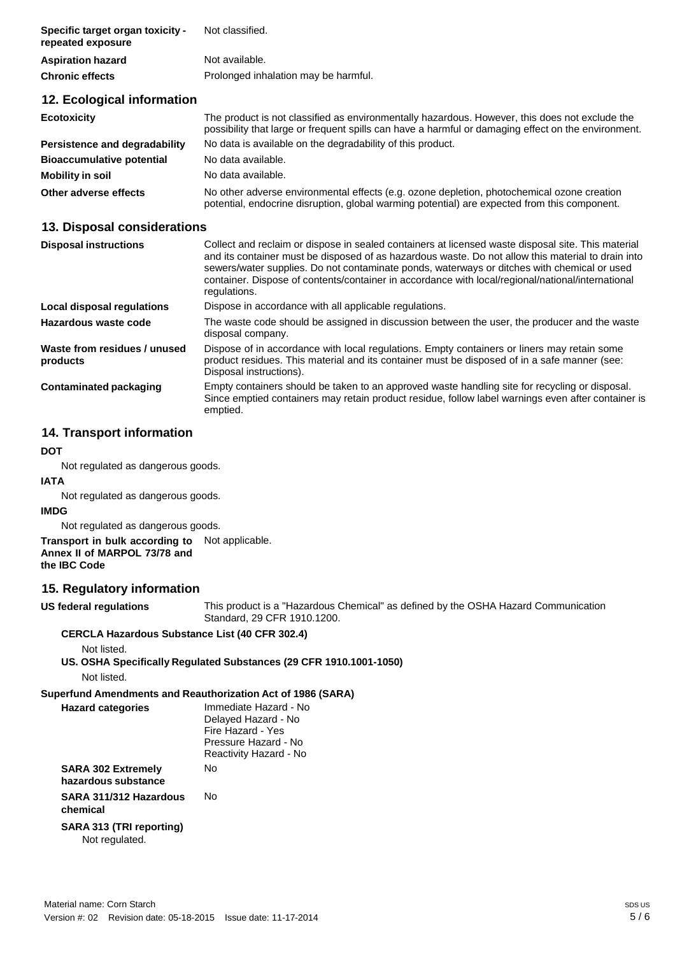| Specific target organ toxicity -<br>repeated exposure | Not classified.                                                                                                                                                                                       |
|-------------------------------------------------------|-------------------------------------------------------------------------------------------------------------------------------------------------------------------------------------------------------|
| <b>Aspiration hazard</b>                              | Not available.                                                                                                                                                                                        |
| <b>Chronic effects</b>                                | Prolonged inhalation may be harmful.                                                                                                                                                                  |
| 12. Ecological information                            |                                                                                                                                                                                                       |
| <b>Ecotoxicity</b>                                    | The product is not classified as environmentally hazardous. However, this does not exclude the<br>possibility that large or frequent spills can have a harmful or damaging effect on the environment. |
| Persistence and degradability                         | No data is available on the degradability of this product.                                                                                                                                            |
| <b>Bioaccumulative potential</b>                      | No data available.                                                                                                                                                                                    |
| <b>Mobility in soil</b>                               | No data available.                                                                                                                                                                                    |
| Other adverse effects                                 | No other adverse environmental effects (e.g. ozone depletion, photochemical ozone creation<br>potential, endocrine disruption, global warming potential) are expected from this component.            |

# **13. Disposal considerations**

| <b>Disposal instructions</b>             | Collect and reclaim or dispose in sealed containers at licensed waste disposal site. This material<br>and its container must be disposed of as hazardous waste. Do not allow this material to drain into<br>sewers/water supplies. Do not contaminate ponds, waterways or ditches with chemical or used<br>container. Dispose of contents/container in accordance with local/regional/national/international<br>regulations. |  |
|------------------------------------------|------------------------------------------------------------------------------------------------------------------------------------------------------------------------------------------------------------------------------------------------------------------------------------------------------------------------------------------------------------------------------------------------------------------------------|--|
| Local disposal regulations               | Dispose in accordance with all applicable regulations.                                                                                                                                                                                                                                                                                                                                                                       |  |
| Hazardous waste code                     | The waste code should be assigned in discussion between the user, the producer and the waste<br>disposal company.                                                                                                                                                                                                                                                                                                            |  |
| Waste from residues / unused<br>products | Dispose of in accordance with local regulations. Empty containers or liners may retain some<br>product residues. This material and its container must be disposed of in a safe manner (see:<br>Disposal instructions).                                                                                                                                                                                                       |  |
| <b>Contaminated packaging</b>            | Empty containers should be taken to an approved waste handling site for recycling or disposal.<br>Since emptied containers may retain product residue, follow label warnings even after container is<br>emptied.                                                                                                                                                                                                             |  |

# **14. Transport information**

#### **DOT**

Not regulated as dangerous goods.

## **IATA**

Not regulated as dangerous goods.

# **IMDG**

Not regulated as dangerous goods.

#### **Transport in bulk according to** Not applicable. **Annex II of MARPOL 73/78 and the IBC Code**

# **15. Regulatory information**

**US federal regulations** This product is a "Hazardous Chemical" as defined by the OSHA Hazard Communication Standard, 29 CFR 1910.1200.

#### **CERCLA Hazardous Substance List (40 CFR 302.4)**

Not listed.

#### **US. OSHA Specifically Regulated Substances (29 CFR 1910.1001-1050)** Not listed.

#### **Superfund Amendments and Reauthorization Act of 1986 (SARA)**

| <b>Hazard categories</b>                   | Immediate Hazard - No<br>Delayed Hazard - No<br>Fire Hazard - Yes<br>Pressure Hazard - No<br>Reactivity Hazard - No |
|--------------------------------------------|---------------------------------------------------------------------------------------------------------------------|
| SARA 302 Extremely<br>hazardous substance  | N٥                                                                                                                  |
| SARA 311/312 Hazardous<br>chemical         | N٥                                                                                                                  |
| SARA 313 (TRI reporting)<br>Not regulated. |                                                                                                                     |
|                                            |                                                                                                                     |